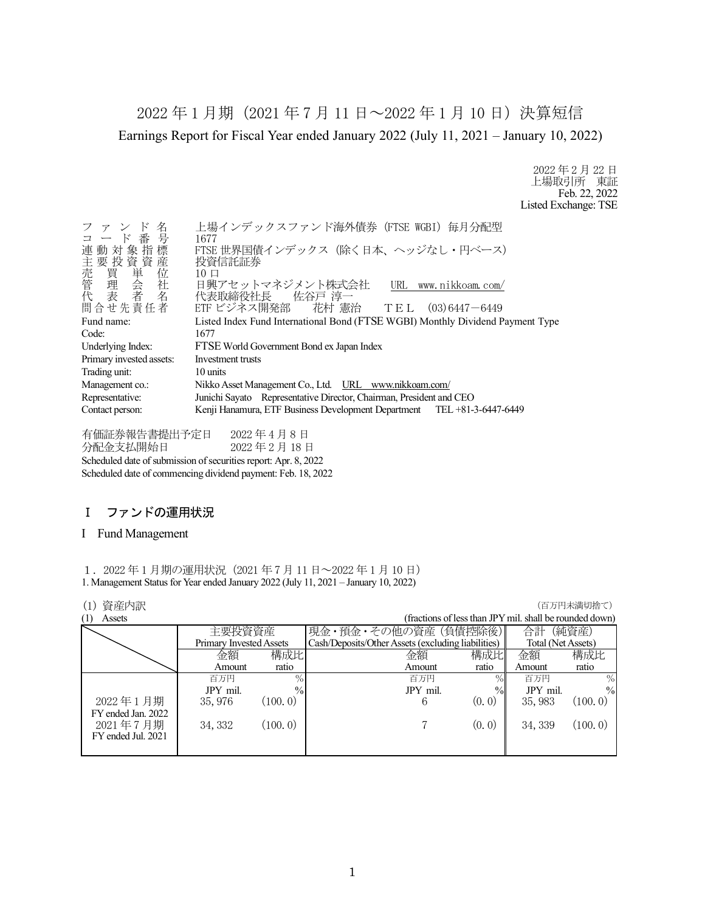2022 年 1 月期(2021 年 7 月 11 日~2022 年 1 月 10 日)決算短信 Earnings Report for Fiscal Year ended January 2022 (July 11, 2021 – January 10, 2022)

> 2022 年 2 月 22 日 上場取引所 東証 Feb. 22, 2022 Listed Exchange: TSE

| 名<br>ファンド<br>コード番号                                        | 上場インデックスファンド海外債券 (FTSE WGBI) 毎月分配型<br>1677                                                                     |
|-----------------------------------------------------------|----------------------------------------------------------------------------------------------------------------|
| 連動対象指標                                                    | FTSE 世界国債インデックス (除く日本、ヘッジなし・円ベース)<br>投資信託証券                                                                    |
| )主売管代,<br>「我會」<br>「我會」<br>「我會」<br>「我會」<br>「我會」<br>問合せ先責任者 | $10 \Box$<br>日興アセットマネジメント株式会社<br>URL www.nikkoam.com/<br>代表取締役社長 佐谷戸 淳一<br>ETF ビジネス開発部 花村 憲治 TEL (03)6447-6449 |
|                                                           |                                                                                                                |
| Fund name:                                                | Listed Index Fund International Bond (FTSE WGBI) Monthly Dividend Payment Type                                 |
| Code:                                                     | 1677                                                                                                           |
| Underlying Index:                                         | FTSE World Government Bond ex Japan Index                                                                      |
| Primary invested assets:                                  | Investment trusts                                                                                              |
| Trading unit:                                             | 10 units                                                                                                       |
| Management co.:                                           | Nikko Asset Management Co., Ltd. URL www.nikkoam.com/                                                          |
| Representative:                                           | Junichi Sayato Representative Director, Chairman, President and CEO                                            |
| Contact person:                                           | Kenji Hanamura, ETF Business Development Department TEL +81-3-6447-6449                                        |

有価証券報告書提出予定日 2022 年 4 月 8 日 分配金支払開始日 2022 年 2 月 18 日 Scheduled date of submission of securities report: Apr. 8, 2022 Scheduled date of commencing dividend payment: Feb. 18, 2022

## Ⅰ ファンドの運用状況

#### I Fund Management

1.2022 年 1 月期の運用状況(2021 年 7 月 11 日~2022 年 1 月 10 日) 1. Management Status for Year ended January 2022 (July 11, 2021 – January 10, 2022)

| 資産内訳<br>(1)        |                         |               |                                                    |                                                         |                    | (百万円未満切捨て)    |
|--------------------|-------------------------|---------------|----------------------------------------------------|---------------------------------------------------------|--------------------|---------------|
| (1)<br>Assets      |                         |               |                                                    | (fractions of less than JPY mil. shall be rounded down) |                    |               |
|                    | 主要投資資産                  |               | 現金・預金・その他の資産 (負債控除後)                               |                                                         | 合計                 | (純資産)         |
|                    | Primary Invested Assets |               | Cash/Deposits/Other Assets (excluding liabilities) |                                                         | Total (Net Assets) |               |
|                    | 金額                      | 構成比           | 金額                                                 | 構成比                                                     | 金額                 | 構成比           |
|                    | Amount                  | ratio         | Amount                                             | ratio                                                   | Amount             | ratio         |
|                    | 百万円                     | $\%$          | 百万円                                                | $\%$                                                    | 百万円                | $\%$          |
|                    | JPY mil.                | $\frac{0}{0}$ | JPY mil.                                           | $\%$                                                    | JPY mil.           | $\frac{0}{0}$ |
| 2022年1月期           | 35, 976                 | (100, 0)      | 6                                                  | (0, 0)                                                  | 35, 983            | (100, 0)      |
| FY ended Jan. 2022 |                         |               |                                                    |                                                         |                    |               |
| 2021年7月期           | 34, 332                 | (100.0)       |                                                    | (0, 0)                                                  | 34, 339            | (100.0)       |
| FY ended Jul. 2021 |                         |               |                                                    |                                                         |                    |               |
|                    |                         |               |                                                    |                                                         |                    |               |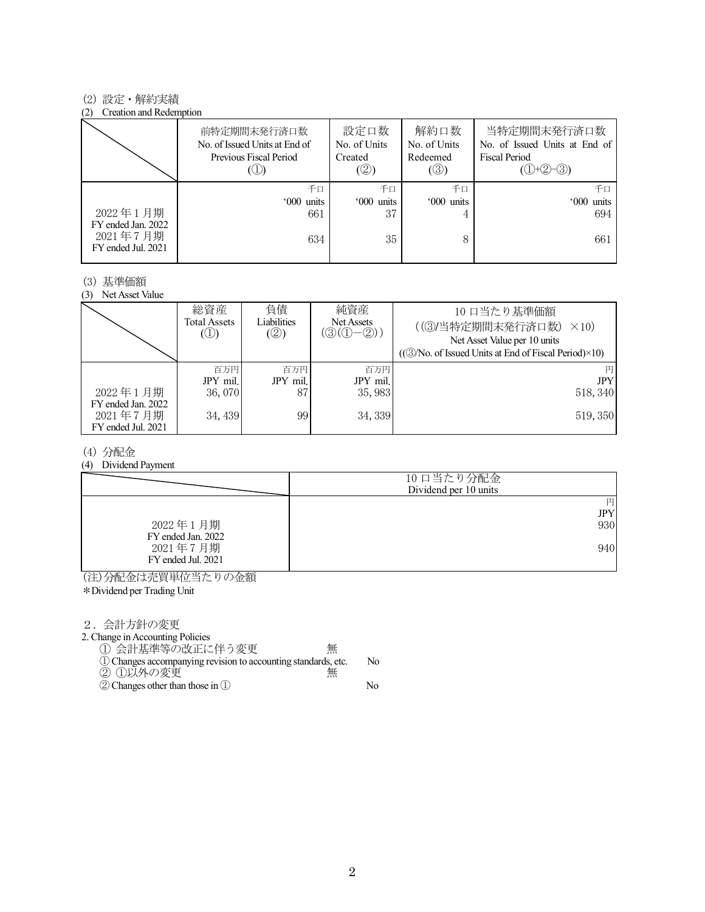#### (2) 設定・解約実績

#### (2) Creation and Redemption

|                                                      | 前特定期間末発行済口数<br>No. of Issued Units at End of<br>Previous Fiscal Period | 設定口数<br>No. of Units<br>Created<br>(2) | 解約口数<br>No. of Units<br>Redeemed<br>(③) | 当特定期間末発行済口数<br>No. of Issued Units at End of<br><b>Fiscal Period</b><br>$(①+②-③)$ |
|------------------------------------------------------|------------------------------------------------------------------------|----------------------------------------|-----------------------------------------|-----------------------------------------------------------------------------------|
|                                                      | 千口                                                                     | 千口                                     | 千口                                      | 千日                                                                                |
|                                                      | '000 units                                                             | '000 units                             | '000 units                              | '000 units                                                                        |
| 2022年1月期                                             | 661                                                                    | 37                                     |                                         | 694                                                                               |
| FY ended Jan. 2022<br>2021年7月期<br>FY ended Jul. 2021 | 634                                                                    | 35                                     | 8                                       | 661                                                                               |

#### (3) 基準価額

(3) Net Asset Value

|                                | 総資産<br>Total Assets<br>$\circledcirc$ | 負債<br>Liabilities<br>(②) | 純資産<br>Net Assets<br>$(\textcircled{3}(\textcircled{1}-\textcircled{2}))$ | 10 口当たり基準価額<br>((3)当特定期間末発行済口数)<br>$\times$ 10)<br>Net Asset Value per 10 units<br>$((\textcircled{3}/No. of Issued Units at End of Fiscal Period)\times10)$ |
|--------------------------------|---------------------------------------|--------------------------|---------------------------------------------------------------------------|--------------------------------------------------------------------------------------------------------------------------------------------------------------|
|                                | 百万円<br>JPY mil.                       | 百万円<br>JPY mil.          | 百万円<br>JPY mil.                                                           | 円<br><b>JPY</b>                                                                                                                                              |
| 2022年1月期<br>FY ended Jan. 2022 | 36,070                                | 87                       | 35, 983                                                                   | 518, 340                                                                                                                                                     |
| 2021年7月期<br>FY ended Jul. 2021 | 34, 439                               | 99                       | 34, 339                                                                   | 519, 350                                                                                                                                                     |

#### (4) 分配金

(4) Dividend Payment

|                                | 10 口当たり分配金<br>Dividend per 10 units |
|--------------------------------|-------------------------------------|
|                                | 円<br>JPY                            |
| 2022年1月期<br>FY ended Jan. 2022 | 930                                 |
| 2021年7月期<br>FY ended Jul. 2021 | 940                                 |

(注)分配金は売買単位当たりの金額

\*Dividend per Trading Unit

2.会計方針の変更

2. Change in Accounting Policies

① 会計基準等の改正に伴う変更 無 ①Changes accompanying revision to accounting standards, etc. No

- ② ①以外の変更 無
- ②Changes other than those in ① No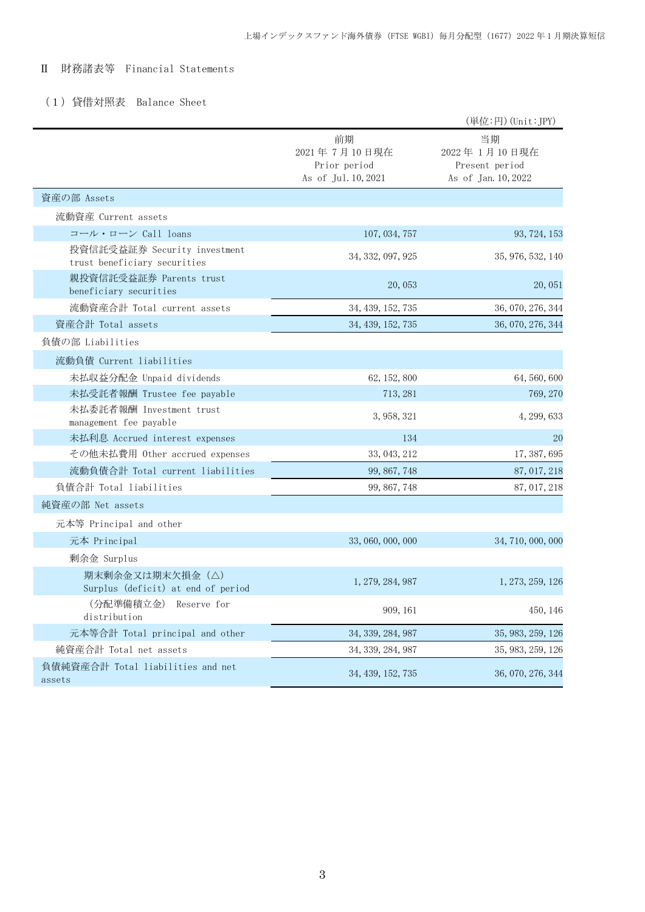## Ⅱ 財務諸表等 Financial Statements

## (1)貸借対照表 Balance Sheet

|                                                              |                                                           | (単位:円) (Unit:JPY)                                           |
|--------------------------------------------------------------|-----------------------------------------------------------|-------------------------------------------------------------|
|                                                              | 前期<br>2021年7月10日現在<br>Prior period<br>As of Jul. 10, 2021 | 当期<br>2022年1月10日現在<br>Present period<br>As of Jan. 10, 2022 |
| 資産の部 Assets                                                  |                                                           |                                                             |
| 流動資産 Current assets                                          |                                                           |                                                             |
| コール・ローン Call loans                                           | 107, 034, 757                                             | 93, 724, 153                                                |
| 投資信託受益証券 Security investment<br>trust beneficiary securities | 34, 332, 097, 925                                         | 35, 976, 532, 140                                           |
| 親投資信託受益証券 Parents trust<br>beneficiary securities            | 20,053                                                    | 20,051                                                      |
| 流動資産合計 Total current assets                                  | 34, 439, 152, 735                                         | 36, 070, 276, 344                                           |
| 資産合計 Total assets                                            | 34, 439, 152, 735                                         | 36, 070, 276, 344                                           |
| 負債の部 Liabilities                                             |                                                           |                                                             |
| 流動負債 Current liabilities                                     |                                                           |                                                             |
| 未払収益分配金 Unpaid dividends                                     | 62, 152, 800                                              | 64, 560, 600                                                |
| 未払受託者報酬 Trustee fee payable                                  | 713, 281                                                  | 769, 270                                                    |
| 未払委託者報酬 Investment trust<br>management fee payable           | 3, 958, 321                                               | 4, 299, 633                                                 |
| 未払利息 Accrued interest expenses                               | 134                                                       | 20                                                          |
| その他未払費用 Other accrued expenses                               | 33, 043, 212                                              | 17, 387, 695                                                |
| 流動負債合計 Total current liabilities                             | 99, 867, 748                                              | 87, 017, 218                                                |
| 負債合計 Total liabilities                                       | 99, 867, 748                                              | 87, 017, 218                                                |
| 純資産の部 Net assets                                             |                                                           |                                                             |
| 元本等 Principal and other                                      |                                                           |                                                             |
| 元本 Principal                                                 | 33, 060, 000, 000                                         | 34, 710, 000, 000                                           |
| 剰余金 Surplus                                                  |                                                           |                                                             |
| 期末剰余金又は期末欠損金(△)<br>Surplus (deficit) at end of period        | 1, 279, 284, 987                                          | 1, 273, 259, 126                                            |
| (分配準備積立金) Reserve for<br>distribution                        | 909, 161                                                  | 450, 146                                                    |
| 元本等合計 Total principal and other                              | 34, 339, 284, 987                                         | 35, 983, 259, 126                                           |
| 純資産合計 Total net assets                                       | 34, 339, 284, 987                                         | 35, 983, 259, 126                                           |
| 負債純資産合計 Total liabilities and net<br>assets                  | 34, 439, 152, 735                                         | 36, 070, 276, 344                                           |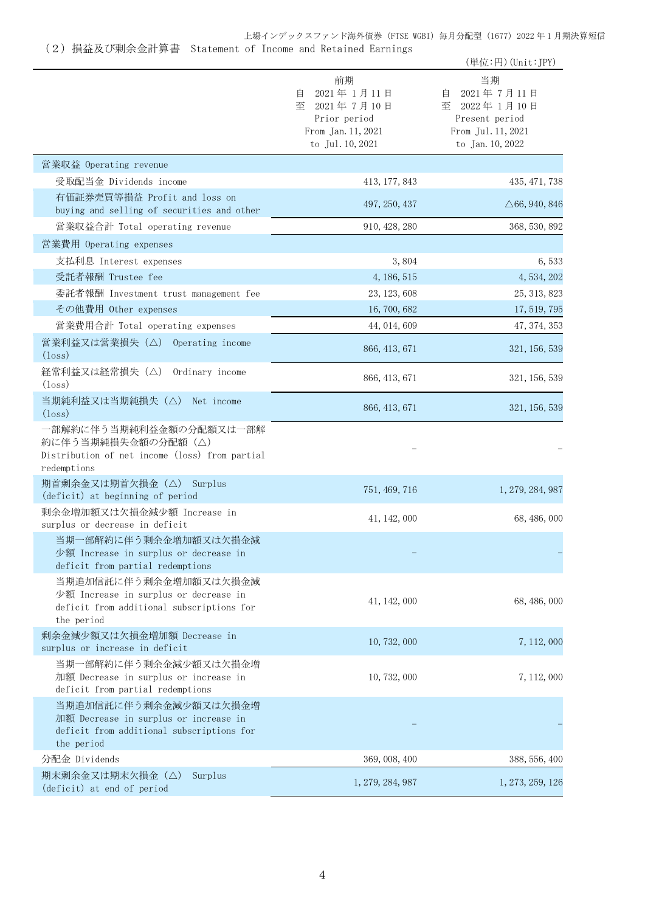|                                                                                                                           |                                                                                                    | (単位:円) (Unit: JPY)                                                                                |
|---------------------------------------------------------------------------------------------------------------------------|----------------------------------------------------------------------------------------------------|---------------------------------------------------------------------------------------------------|
|                                                                                                                           | 前期<br>2021年1月11日<br>目<br>至<br>2021年7月10日<br>Prior period<br>From Jan. 11, 2021<br>to Jul. 10, 2021 | 当期<br>2021年7月11日<br>自<br>至 2022年1月10日<br>Present period<br>From Jul. 11, 2021<br>to Jan. 10, 2022 |
| 営業収益 Operating revenue                                                                                                    |                                                                                                    |                                                                                                   |
| 受取配当金 Dividends income                                                                                                    | 413, 177, 843                                                                                      | 435, 471, 738                                                                                     |
| 有価証券売買等損益 Profit and loss on<br>buying and selling of securities and other                                                | 497, 250, 437                                                                                      | $\triangle 66, 940, 846$                                                                          |
| 営業収益合計 Total operating revenue                                                                                            | 910, 428, 280                                                                                      | 368, 530, 892                                                                                     |
| 営業費用 Operating expenses                                                                                                   |                                                                                                    |                                                                                                   |
| 支払利息 Interest expenses                                                                                                    | 3,804                                                                                              | 6,533                                                                                             |
| 受託者報酬 Trustee fee                                                                                                         | 4, 186, 515                                                                                        | 4, 534, 202                                                                                       |
| 委託者報酬 Investment trust management fee                                                                                     | 23, 123, 608                                                                                       | 25, 313, 823                                                                                      |
| その他費用 Other expenses                                                                                                      | 16, 700, 682                                                                                       | 17, 519, 795                                                                                      |
| 営業費用合計 Total operating expenses                                                                                           | 44, 014, 609                                                                                       | 47, 374, 353                                                                                      |
| 営業利益又は営業損失(△) Operating income<br>$(\text{loss})$                                                                         | 866, 413, 671                                                                                      | 321, 156, 539                                                                                     |
| 経常利益又は経常損失(△) Ordinary income<br>$(l$ <sub>oss</sub> $)$                                                                  | 866, 413, 671                                                                                      | 321, 156, 539                                                                                     |
| 当期純利益又は当期純損失 (△) Net income<br>$(\text{loss})$                                                                            | 866, 413, 671                                                                                      | 321, 156, 539                                                                                     |
| 一部解約に伴う当期純利益金額の分配額又は一部解<br>約に伴う当期純損失金額の分配額 (△)<br>Distribution of net income (loss) from partial<br>redemptions           |                                                                                                    |                                                                                                   |
| 期首剰余金又は期首欠損金 (△) Surplus<br>(deficit) at beginning of period                                                              | 751, 469, 716                                                                                      | 1, 279, 284, 987                                                                                  |
| 剰余金増加額又は欠損金減少額 Increase in<br>surplus or decrease in deficit                                                              | 41, 142, 000                                                                                       | 68, 486, 000                                                                                      |
| 当期一部解約に伴う剰余金増加額又は欠損金減<br>少額 Increase in surplus or decrease in<br>deficit from partial redemptions                        |                                                                                                    |                                                                                                   |
| 当期追加信託に伴う剰余金増加額又は欠損金減<br>少額 Increase in surplus or decrease in<br>deficit from additional subscriptions for<br>the period | 41, 142, 000                                                                                       | 68, 486, 000                                                                                      |
| 剰余金減少額又は欠損金増加額 Decrease in<br>surplus or increase in deficit                                                              | 10, 732, 000                                                                                       | 7, 112, 000                                                                                       |
| 当期一部解約に伴う剰余金減少額又は欠損金増<br>加額 Decrease in surplus or increase in<br>deficit from partial redemptions                        | 10, 732, 000                                                                                       | 7, 112, 000                                                                                       |
| 当期追加信託に伴う剰余金減少額又は欠損金増<br>加額 Decrease in surplus or increase in<br>deficit from additional subscriptions for<br>the period |                                                                                                    |                                                                                                   |
| 分配金 Dividends                                                                                                             | 369, 008, 400                                                                                      | 388, 556, 400                                                                                     |
| 期末剰余金又は期末欠損金(△)<br>Surplus<br>(deficit) at end of period                                                                  | 1, 279, 284, 987                                                                                   | 1, 273, 259, 126                                                                                  |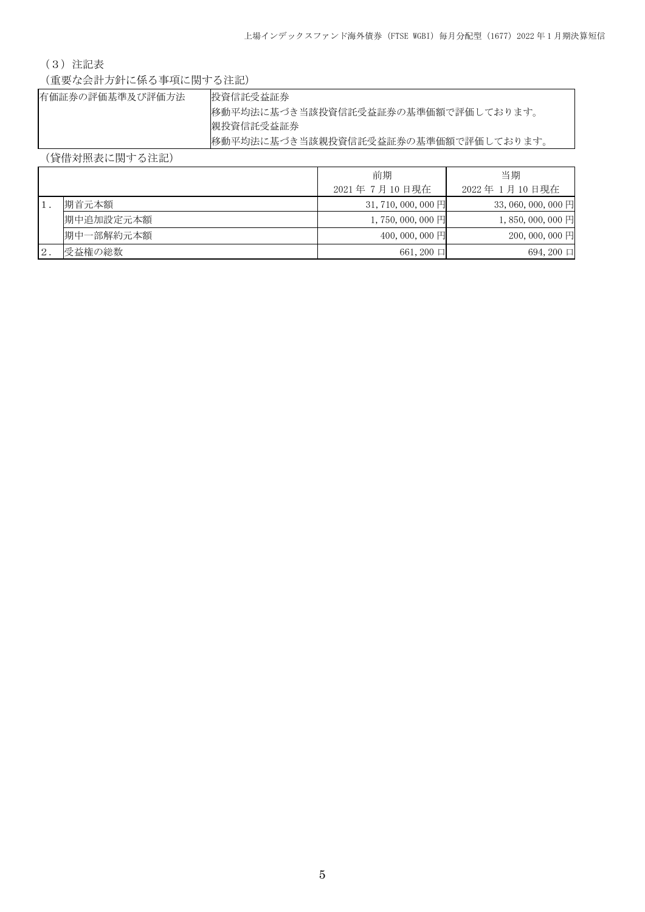## (3)注記表

(重要な会計方針に係る事項に関する注記)

| 有価証券の評価基準及び評価方法 | 投資信託受益証券                            |
|-----------------|-------------------------------------|
|                 | 移動平均法に基づき当該投資信託受益証券の基準価額で評価しております。  |
|                 | 親投資信託受益証券                           |
|                 | 移動平均法に基づき当該親投資信託受益証券の基準価額で評価しております。 |

(貸借対照表に関する注記)

|    |           | 前期                      | 当期                           |
|----|-----------|-------------------------|------------------------------|
|    |           | 2021年7月10日現在            | 2022年 1月10日現在                |
|    | 期首元本額     | $31,710,000,000$ 円      | $33,060,000,000$ 円           |
|    | 期中追加設定元本額 | 1, 750, 000, 000 $\Box$ | 1,850,000,000 $\overline{H}$ |
|    | 期中一部解約元本額 | $400,000,000$ 円         | $200,000,000$ 円              |
| 2. | 受益権の総数    | $661, 200$ $\Box$       | $694,200$ $\Box$             |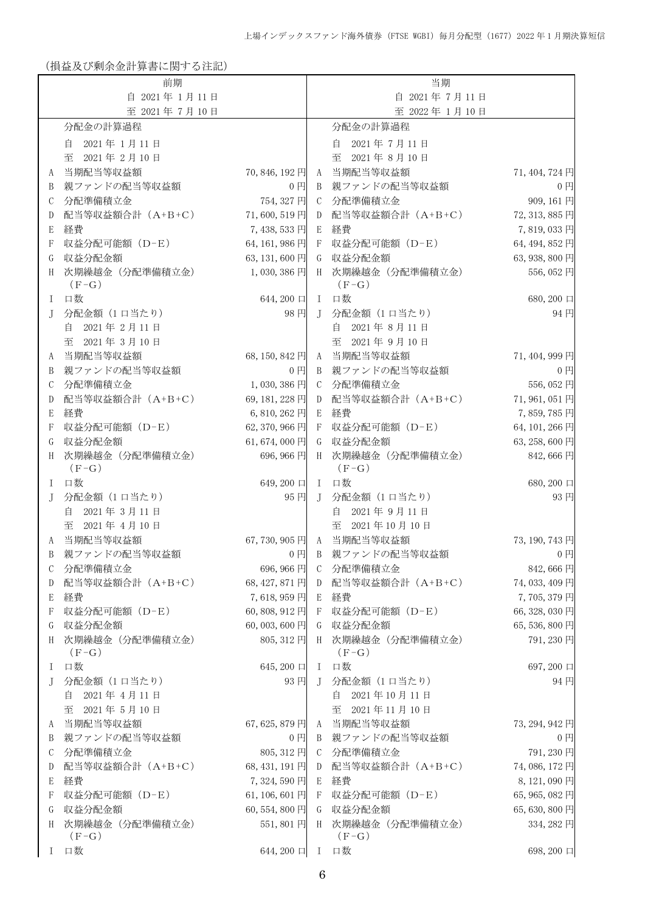(損益及び剰余金計算書に関する注記)

|        | 前期                                   |                         |                  | 当期                                     |                           |
|--------|--------------------------------------|-------------------------|------------------|----------------------------------------|---------------------------|
|        | 自 2021年1月11日                         |                         |                  | 自 2021年7月11日                           |                           |
|        | 至 2021年7月10日                         |                         |                  | 至 2022年1月10日                           |                           |
|        | 分配金の計算過程                             |                         |                  | 分配金の計算過程                               |                           |
|        | 2021年1月11日<br>自                      |                         |                  | 自<br>2021年7月11日                        |                           |
|        | 2021年2月10日<br>至                      |                         |                  | 至<br>2021年8月10日                        |                           |
| A      | 当期配当等収益額                             | 70,846,192円             | A                | 当期配当等収益額                               | 71, 404, 724 円            |
| B      | 親ファンドの配当等収益額                         | $0$ 円                   | B                | 親ファンドの配当等収益額                           | $0$ 円                     |
| С      | 分配準備積立金                              | 754, 327 円              | $\mathcal{C}$    | 分配準備積立金                                | 909, 161円                 |
| D      | 配当等収益額合計 (A+B+C)                     | 71,600,519円             | D                | 配当等収益額合計 (A+B+C)                       | 72, 313, 885 円            |
| E      | 経費                                   | 7,438,533円              | E                | 経費                                     | 7,819,033円                |
| F      | 収益分配可能額 (D-E)                        | 64, 161, 986 円          | $\mathbf F$      | 収益分配可能額 (D-E)                          | 64, 494, 852 円            |
| G      | 収益分配金額                               | 63, 131, 600 円          | G                | 収益分配金額                                 | 63, 938, 800 円            |
| H      | 次期繰越金 (分配準備積立金)                      | 1,030,386円              |                  | H 次期繰越金 (分配準備積立金)                      | 556,052円                  |
|        | $(F-G)$                              |                         |                  | $(F-G)$                                |                           |
| I      | 口数                                   | 644,200 口               |                  | I 口数                                   | 680,200 口                 |
| J      | 分配金額 (1 口当たり)                        | 98円                     | $\mathbf{J}$     | 分配金額 (1 口当たり)                          | 94円                       |
|        | 2021年2月11日<br>自                      |                         |                  | 2021年8月11日<br>自                        |                           |
|        | 至 2021年3月10日                         |                         |                  | 至 2021年9月10日                           |                           |
| A      | 当期配当等収益額                             | 68, 150, 842 円          |                  | A 当期配当等収益額                             | 71,404,999円               |
| B      | 親ファンドの配当等収益額                         | $0$ $\Box$              | B                | 親ファンドの配当等収益額                           | $0$ 円                     |
| С      | 分配準備積立金                              | 1,030,386円              | C                | 分配準備積立金                                | 556,052円                  |
| D      | 配当等収益額合計 (A+B+C)                     | 69, 181, 228 円          | D                | 配当等収益額合計 (A+B+C)                       | 71,961,051円               |
| Е      | 経費                                   | 6,810,262円              | E                | 経費                                     | 7,859,785円                |
| F      | 収益分配可能額 (D-E)                        | 62, 370, 966 円          | $\boldsymbol{F}$ | 収益分配可能額 (D-E)                          | 64, 101, 266 円            |
| G      | 収益分配金額                               | 61,674,000円             | G                | 収益分配金額                                 | 63, 258, 600 円            |
| H      | 次期繰越金 (分配準備積立金)<br>$(F-G)$           | 696,966円                | H                | 次期繰越金 (分配準備積立金)<br>$(F-G)$             | 842,666円                  |
| L      | 口数                                   | 649,200 口               |                  | I 口数                                   | 680,200 口                 |
| J      | 分配金額 (1 口当たり)                        | 95円                     | T                | 分配金額 (1 口当たり)                          | 93円                       |
|        | 自 2021年3月11日                         |                         |                  | 2021年9月11日<br>自                        |                           |
|        | 至 2021年4月10日                         |                         |                  | 至 2021年10月10日                          |                           |
| A      | 当期配当等収益額                             | 67,730,905円             |                  | A 当期配当等収益額                             | 73, 190, 743 円            |
| В      | 親ファンドの配当等収益額                         | $0$ $\Box$              |                  | - B- 親ファンドの配当等収益額                      | $0$ $\Box$                |
| С      | 分配準備積立金                              | 696, 966 円              |                  | C 分配準備積立金                              | 842,666円                  |
| D      | 配当等収益額合計 (A+B+C)                     | 68, 427, 871 円          |                  | D 配当等収益額合計 (A+B+C)                     | 74, 033, 409円             |
| E      | 経費                                   | 7,618,959円              | E                | 経費                                     | 7,705,379円                |
| F      | 収益分配可能額 (D-E)                        | 60,808,912円             | -F               | 収益分配可能額 (D-E)                          | 66, 328, 030 円            |
| G      | 収益分配金額                               | 60,003,600円             | G                | 収益分配金額                                 | 65,536,800円               |
| H      | 次期繰越金 (分配準備積立金)<br>$(F-G)$           | 805, 312 円              |                  | H 次期繰越金 (分配準備積立金)<br>$(F-G)$           | 791,230円                  |
| I.     | 口数                                   | 645,200 口               |                  | I 口数                                   | 697,200 口                 |
| J      | 分配金額 (1 口当たり)                        | 93円                     |                  | J 分配金額 (1 口当たり)                        | 94円                       |
|        | 自 2021年4月11日                         |                         |                  | 自<br>2021年10月11日                       |                           |
|        | 至 2021年5月10日                         |                         |                  | 2021年11月10日<br>至                       |                           |
| A      | 当期配当等収益額                             | 67,625,879円             |                  | A 当期配当等収益額                             | 73, 294, 942 円            |
| B      | 親ファンドの配当等収益額                         | $0$ $\Box$              |                  | B 親ファンドの配当等収益額                         | $0$ $\Box$                |
| С      | 分配準備積立金                              | 805, 312 円              |                  | C 分配準備積立金                              | 791,230円                  |
| D      | 配当等収益額合計 (A+B+C)                     | 68, 431, 191 円          |                  | D 配当等収益額合計 (A+B+C)                     | 74,086,172円               |
| E      | 経費                                   | 7,324,590円              | E                | 経費                                     | 8,121,090 円               |
| F      | 収益分配可能額 (D-E)                        | 61, 106, 601 円          | $\mathbf{F}$     | 収益分配可能額 (D-E)                          | 65, 965, 082 円            |
| G<br>H | 収益分配金額<br>次期繰越金 (分配準備積立金)<br>$(F-G)$ | 60,554,800円<br>551,801円 | G                | 収益分配金額<br>H 次期繰越金 (分配準備積立金)<br>$(F-G)$ | 65,630,800円<br>334, 282 円 |
|        | I 口数                                 | $644,200$ $\Box$        |                  | I 口数                                   | 698, 200 口                |
|        |                                      |                         |                  |                                        |                           |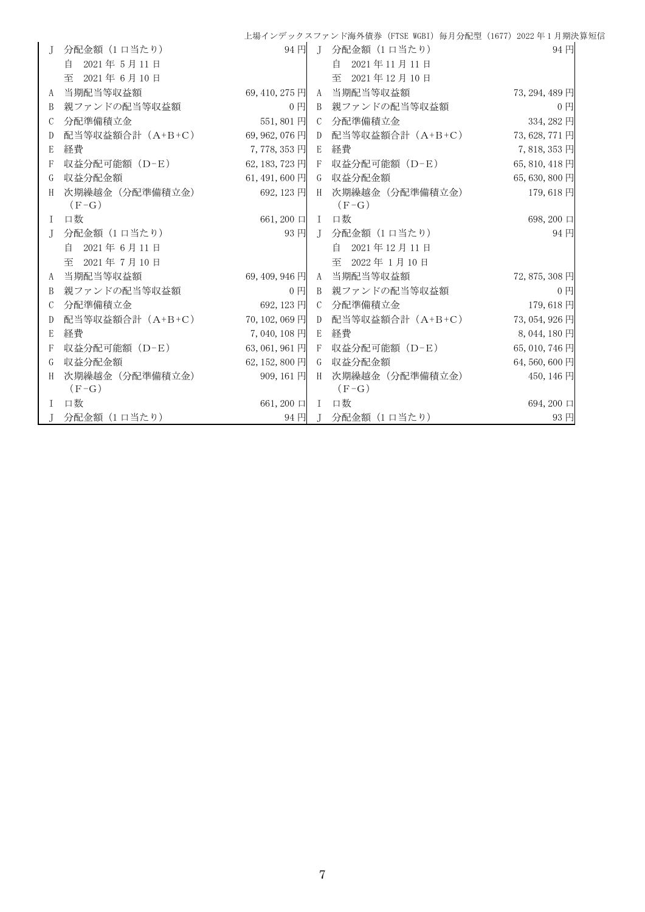|               |                  |                |                | 上場インデックスファンド海外債券 (FTSE WGBI) 毎月分配型 (1677) 2022 年1月期決算短信 |                |
|---------------|------------------|----------------|----------------|---------------------------------------------------------|----------------|
| J.            | 分配金額 (1 口当たり)    | 94円            | $\overline{J}$ | 分配金額 (1 口当たり)                                           | 94円            |
|               | 2021年5月11日<br>自  |                |                | 自<br>2021年11月11日                                        |                |
|               | 至 2021年6月10日     |                |                | 至 2021年12月10日                                           |                |
| A             | 当期配当等収益額         | 69, 410, 275 円 |                | A 当期配当等収益額                                              | 73, 294, 489 円 |
| B             | 親ファンドの配当等収益額     | 0 <sub>1</sub> |                | B 親ファンドの配当等収益額                                          | 0 <sub>1</sub> |
| $\mathcal{C}$ | 分配準備積立金          | 551,801円       |                | C 分配準備積立金                                               | 334, 282 円     |
| D             | 配当等収益額合計 (A+B+C) | 69, 962, 076 円 |                | D 配当等収益額合計 (A+B+C)                                      | 73,628,771円    |
| E             | 経費               | 7,778,353円     | E              | 経費                                                      | 7,818,353円     |
| F             | 収益分配可能額 (D-E)    | 62, 183, 723 円 |                | F 収益分配可能額(D-E)                                          | 65, 810, 418 円 |
| G             | 収益分配金額           | 61,491,600円    | G              | 収益分配金額                                                  | 65,630,800円    |
| H             | 次期繰越金 (分配準備積立金)  | 692, 123 円     | H              | 次期繰越金(分配準備積立金)                                          | 179,618円       |
|               | $(F-G)$          |                |                | $(F-G)$                                                 |                |
| $\mathbf{I}$  | 口数               | 661,200 口 I 口数 |                |                                                         | 698,200 口      |
| $\Gamma$      | 分配金額 (1 口当たり)    | 93 円           | $\mathbf{I}$   | 分配金額(1口当たり)                                             | 94円            |
|               | 自 2021年6月11日     |                |                | 自 2021年12月11日                                           |                |
|               | 至 2021年7月10日     |                |                | 至 2022年1月10日                                            |                |
| A             | 当期配当等収益額         | $69,409,946$ 円 |                | A 当期配当等収益額                                              | 72,875,308円    |
| B             | 親ファンドの配当等収益額     | $0$ 円          |                | B 親ファンドの配当等収益額                                          | $0$ 円          |
| $\mathcal{C}$ | 分配準備積立金          | 692, 123 円     |                | C 分配準備積立金                                               | 179,618円       |
| D             | 配当等収益額合計 (A+B+C) | 70, 102, 069 円 |                | D 配当等収益額合計(A+B+C)                                       | 73, 054, 926 円 |
| E             | 経費               | 7,040,108円     | E              | 経費                                                      | 8,044,180円     |
| $\mathbf{F}$  | 収益分配可能額 (D-E)    | 63,061,961円    |                | F 収益分配可能額(D−E)                                          | 65,010,746円    |
| G             | 収益分配金額           | 62, 152, 800 円 |                | G 収益分配金額                                                | 64,560,600円    |
| H             | 次期繰越金 (分配準備積立金)  | $909, 161$ 円   |                | H 次期繰越金(分配準備積立金)                                        | 450, 146 円     |
|               | $(F-G)$          |                |                | $(F-G)$                                                 |                |
| $\mathbf{I}$  | 口数               | 661,200 口 I 口数 |                |                                                         | 694,200 口      |
|               | 分配金額 (1口当たり)     | 94円            |                | J 分配金額 (1口当たり)                                          | 93円            |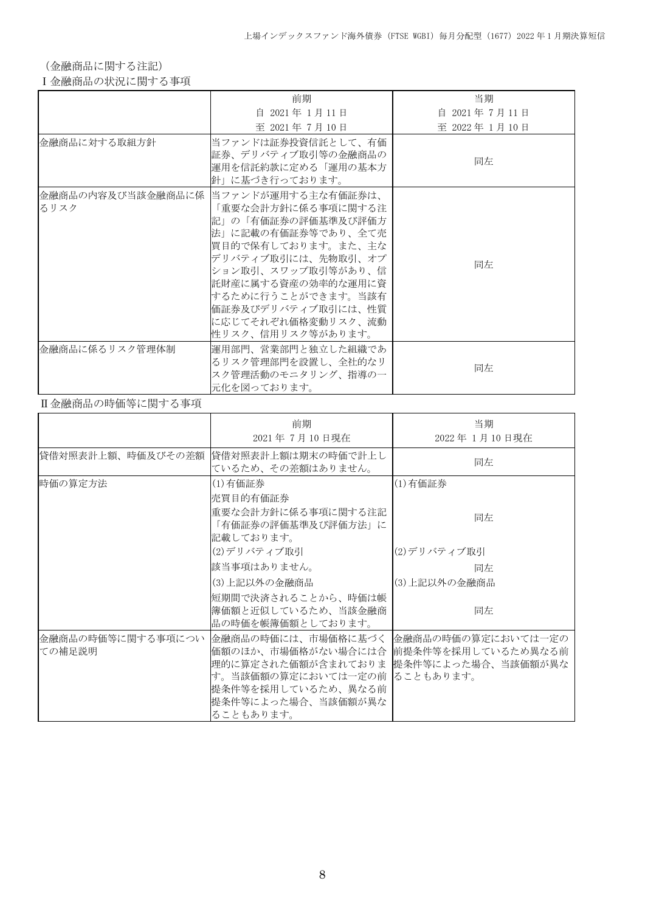(金融商品に関する注記)

Ⅰ金融商品の状況に関する事項

|                | 前期                                                                                                                                                                                                                                                                                      | 当期            |
|----------------|-----------------------------------------------------------------------------------------------------------------------------------------------------------------------------------------------------------------------------------------------------------------------------------------|---------------|
|                | 自 2021年 1月11日                                                                                                                                                                                                                                                                           | 自 2021年7月11日  |
|                | 至 2021年7月10日                                                                                                                                                                                                                                                                            | 至 2022年 1月10日 |
| 金融商品に対する取組方針   | 当ファンドは証券投資信託として、有価<br>証券、デリバティブ取引等の金融商品の<br>運用を信託約款に定める「運用の基本方<br>針」に基づき行っております。                                                                                                                                                                                                        | 同左            |
| るリスク           | 金融商品の内容及び当該金融商品に係  当ファンドが運用する主な有価証券は、<br>「重要な会計方針に係る事項に関する注<br>記」の「有価証券の評価基準及び評価方<br>法」に記載の有価証券等であり、全て売<br> 買目的で保有しております。また、主な<br>デリバティブ取引には、先物取引、オプ<br>ション取引、スワップ取引等があり、信<br>託財産に属する資産の効率的な運用に資<br>するために行うことができます。当該有<br>価証券及びデリバティブ取引には、性質<br>に応じてそれぞれ価格変動リスク、流動<br>性リスク、信用リスク等があります。 | 同左            |
| 金融商品に係るリスク管理体制 | 運用部門、営業部門と独立した組織であ<br>るリスク管理部門を設置し、全社的なリ<br>スク管理活動のモニタリング、指導の一<br>元化を図っております。                                                                                                                                                                                                           | 同左            |

## Ⅱ金融商品の時価等に関する事項

|                             | 前期<br>2021年7月10日現在                                                                                                                                                                                                 | 当期<br>2022年 1月10日現在 |  |
|-----------------------------|--------------------------------------------------------------------------------------------------------------------------------------------------------------------------------------------------------------------|---------------------|--|
| 貸借対照表計上額、時価及びその差額           | 貸借対照表計上額は期末の時価で計上し<br>ているため、その差額はありません。                                                                                                                                                                            | 同左                  |  |
| 時価の算定方法                     | (1)有価証券<br>売買目的有価証券                                                                                                                                                                                                | (1)有価証券             |  |
|                             | 重要な会計方針に係る事項に関する注記<br>「有価証券の評価基準及び評価方法」に<br>記載しております。                                                                                                                                                              | 同左                  |  |
|                             | (2)デリバティブ取引                                                                                                                                                                                                        | (2)デリバティブ取引         |  |
|                             | 該当事項はありません。                                                                                                                                                                                                        | 同左                  |  |
|                             | (3)上記以外の金融商品                                                                                                                                                                                                       | (3)上記以外の金融商品        |  |
|                             | 短期間で決済されることから、時価は帳<br>簿価額と近似しているため、当該金融商<br>品の時価を帳簿価額としております。                                                                                                                                                      | 同左                  |  |
| 金融商品の時価等に関する事項につい<br>ての補足説明 | 金融商品の時価には、市場価格に基づく  金融商品の時価の算定においては一定の<br>価額のほか、市場価格がない場合には合  前提条件等を採用しているため異なる前<br>理的に算定された価額が含まれておりま 提条件等によった場合、当該価額が異な<br>す。当該価額の算定においては一定の前 ることもあります。<br>提条件等を採用しているため、異なる前<br>提条件等によった場合、当該価額が異な<br>ることもあります。 |                     |  |